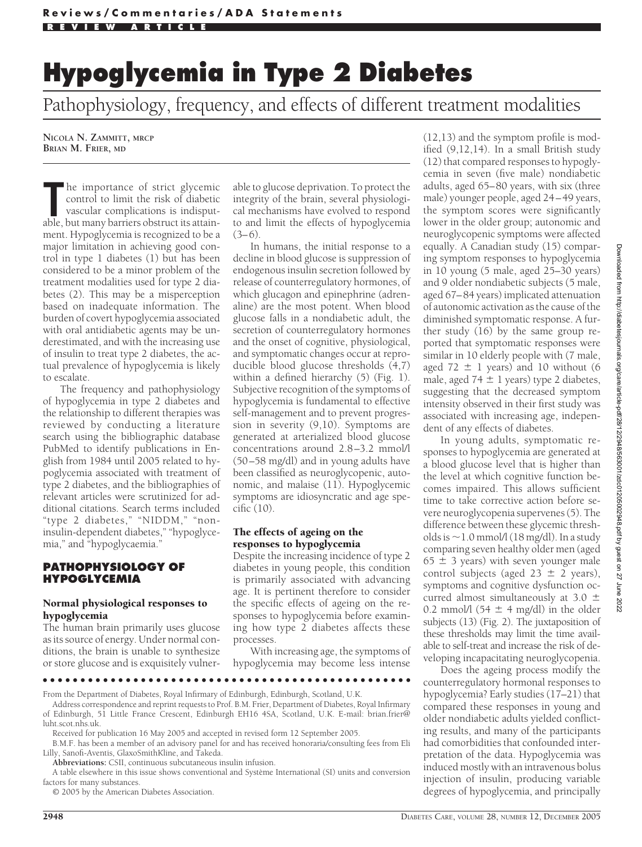Pathophysiology, frequency, and effects of different treatment modalities

**NICOLA N. ZAMMITT, MRCP BRIAN M. FRIER, MD**

The importance of strict glycemic control to limit the risk of diabetic vascular complications is indisputable, but many barriers obstruct its attainhe importance of strict glycemic control to limit the risk of diabetic vascular complications is indisputment. Hypoglycemia is recognized to be a major limitation in achieving good control in type 1 diabetes (1) but has been considered to be a minor problem of the treatment modalities used for type 2 diabetes (2). This may be a misperception based on inadequate information. The burden of covert hypoglycemia associated with oral antidiabetic agents may be underestimated, and with the increasing use of insulin to treat type 2 diabetes, the actual prevalence of hypoglycemia is likely to escalate.

The frequency and pathophysiology of hypoglycemia in type 2 diabetes and the relationship to different therapies was reviewed by conducting a literature search using the bibliographic database PubMed to identify publications in English from 1984 until 2005 related to hypoglycemia associated with treatment of type 2 diabetes, and the bibliographies of relevant articles were scrutinized for additional citations. Search terms included "type 2 diabetes," "NIDDM," "noninsulin-dependent diabetes," "hypoglycemia," and "hypoglycaemia."

# **PATHOPHYSIOLOGY OF HYPOGLYCEMIA**

#### Normal physiological responses to hypoglycemia

The human brain primarily uses glucose as its source of energy. Under normal conditions, the brain is unable to synthesize or store glucose and is exquisitely vulner-

able to glucose deprivation. To protect the integrity of the brain, several physiological mechanisms have evolved to respond to and limit the effects of hypoglycemia  $(3-6)$ .

In humans, the initial response to a decline in blood glucose is suppression of endogenous insulin secretion followed by release of counterregulatory hormones, of which glucagon and epinephrine (adrenaline) are the most potent. When blood glucose falls in a nondiabetic adult, the secretion of counterregulatory hormones and the onset of cognitive, physiological, and symptomatic changes occur at reproducible blood glucose thresholds (4,7) within a defined hierarchy (5) (Fig. 1). Subjective recognition of the symptoms of hypoglycemia is fundamental to effective self-management and to prevent progression in severity (9,10). Symptoms are generated at arterialized blood glucose concentrations around 2.8–3.2 mmol/l (50–58 mg/dl) and in young adults have been classified as neuroglycopenic, autonomic, and malaise (11). Hypoglycemic symptoms are idiosyncratic and age specific (10).

#### The effects of ageing on the responses to hypoglycemia

Despite the increasing incidence of type 2 diabetes in young people, this condition is primarily associated with advancing age. It is pertinent therefore to consider the specific effects of ageing on the responses to hypoglycemia before examining how type 2 diabetes affects these processes.

With increasing age, the symptoms of hypoglycemia may become less intense

●●●●●●●●●●●●●●●●●●●●●●●●●●●●●●●●●●●●●●●●●●●●●●●●●

From the Department of Diabetes, Royal Infirmary of Edinburgh, Edinburgh, Scotland, U.K.

Address correspondence and reprint requests to Prof. B.M. Frier, Department of Diabetes, Royal Infirmary of Edinburgh, 51 Little France Crescent, Edinburgh EH16 4SA, Scotland, U.K. E-mail: brian.frier@ luht.scot.nhs.uk.

Received for publication 16 May 2005 and accepted in revised form 12 September 2005.

B.M.F. has been a member of an advisory panel for and has received honoraria/consulting fees from Eli Lilly, Sanofi-Aventis, GlaxoSmithKline, and Takeda.

**Abbreviations:** CSII, continuous subcutaneous insulin infusion.

A table elsewhere in this issue shows conventional and Système International (SI) units and conversion factors for many substances.

© 2005 by the American Diabetes Association.

(12,13) and the symptom profile is modified (9,12,14). In a small British study (12) that compared responses to hypoglycemia in seven (five male) nondiabetic adults, aged 65–80 years, with six (three male) younger people, aged 24–49 years, the symptom scores were significantly lower in the older group; autonomic and neuroglycopenic symptoms were affected equally. A Canadian study (15) comparing symptom responses to hypoglycemia in 10 young (5 male, aged 25–30 years) and 9 older nondiabetic subjects (5 male, aged 67–84 years) implicated attenuation of autonomic activation as the cause of the diminished symptomatic response. A further study (16) by the same group reported that symptomatic responses were similar in 10 elderly people with (7 male, aged 72  $\pm$  1 years) and 10 without (6 male, aged  $74 \pm 1$  years) type 2 diabetes, suggesting that the decreased symptom intensity observed in their first study was associated with increasing age, independent of any effects of diabetes.

In young adults, symptomatic responses to hypoglycemia are generated at a blood glucose level that is higher than the level at which cognitive function becomes impaired. This allows sufficient time to take corrective action before severe neuroglycopenia supervenes (5). The difference between these glycemic thresholds is  $\sim$  1.0 mmol/l (18 mg/dl). In a study comparing seven healthy older men (aged  $65 \pm 3$  years) with seven younger male control subjects (aged  $23 \pm 2$  years), symptoms and cognitive dysfunction occurred almost simultaneously at 3.0  $\pm$ 0.2 mmol/l (54  $\pm$  4 mg/dl) in the older subjects (13) (Fig. 2). The juxtaposition of these thresholds may limit the time available to self-treat and increase the risk of developing incapacitating neuroglycopenia.

Does the ageing process modify the counterregulatory hormonal responses to hypoglycemia? Early studies (17–21) that compared these responses in young and older nondiabetic adults yielded conflicting results, and many of the participants had comorbidities that confounded interpretation of the data. Hypoglycemia was induced mostly with an intravenous bolus injection of insulin, producing variable degrees of hypoglycemia, and principally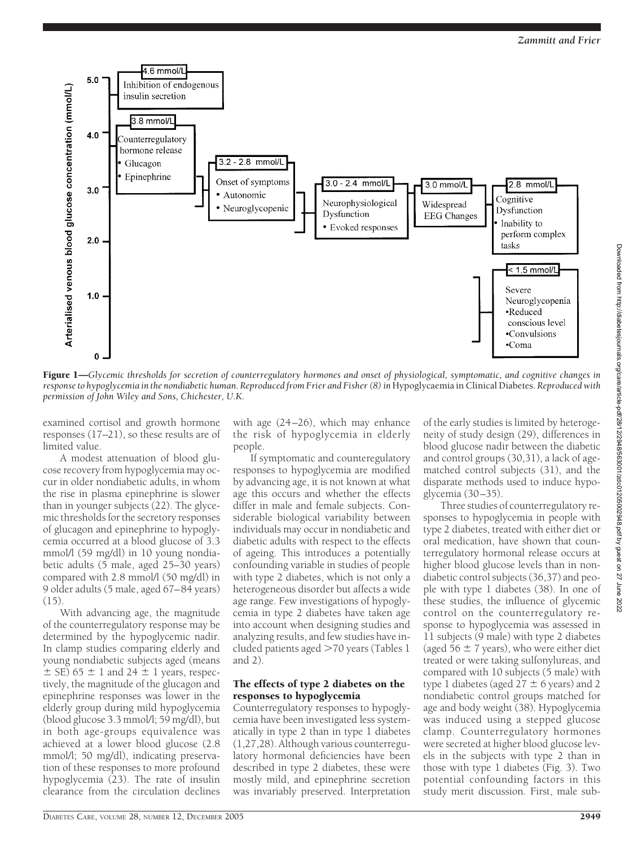

Figure 1—*Glycemic thresholds for secretion of counterregulatory hormones and onset of physiological, symptomatic, and cognitive changes in* response to hypoglycemia in the nondiabetic human. Reproduced from Frier and Fisher (8) in Hypoglycaemia in Clinical Diabetes. Reproduced with *permission of John Wiley and Sons, Chichester, U.K.*

examined cortisol and growth hormone responses (17–21), so these results are of limited value.

A modest attenuation of blood glucose recovery from hypoglycemia may occur in older nondiabetic adults, in whom the rise in plasma epinephrine is slower than in younger subjects (22). The glycemic thresholds for the secretory responses of glucagon and epinephrine to hypoglycemia occurred at a blood glucose of 3.3 mmol/l (59 mg/dl) in 10 young nondiabetic adults (5 male, aged 25–30 years) compared with 2.8 mmol/l (50 mg/dl) in 9 older adults (5 male, aged 67–84 years)  $(15)$ 

With advancing age, the magnitude of the counterregulatory response may be determined by the hypoglycemic nadir. In clamp studies comparing elderly and young nondiabetic subjects aged (means  $\pm$  SE) 65  $\pm$  1 and 24  $\pm$  1 years, respectively, the magnitude of the glucagon and epinephrine responses was lower in the elderly group during mild hypoglycemia (blood glucose 3.3 mmol/l; 59 mg/dl), but in both age-groups equivalence was achieved at a lower blood glucose (2.8 mmol/l; 50 mg/dl), indicating preservation of these responses to more profound hypoglycemia (23). The rate of insulin clearance from the circulation declines

with age (24–26), which may enhance the risk of hypoglycemia in elderly people.

If symptomatic and counteregulatory responses to hypoglycemia are modified by advancing age, it is not known at what age this occurs and whether the effects differ in male and female subjects. Considerable biological variability between individuals may occur in nondiabetic and diabetic adults with respect to the effects of ageing. This introduces a potentially confounding variable in studies of people with type 2 diabetes, which is not only a heterogeneous disorder but affects a wide age range. Few investigations of hypoglycemia in type 2 diabetes have taken age into account when designing studies and analyzing results, and few studies have included patients aged >70 years (Tables 1 and 2).

#### The effects of type 2 diabetes on the responses to hypoglycemia

Counterregulatory responses to hypoglycemia have been investigated less systematically in type 2 than in type 1 diabetes (1,27,28). Although various counterregulatory hormonal deficiencies have been described in type 2 diabetes, these were mostly mild, and epinephrine secretion was invariably preserved. Interpretation

of the early studies is limited by heterogeneity of study design (29), differences in blood glucose nadir between the diabetic and control groups (30,31), a lack of agematched control subjects (31), and the disparate methods used to induce hypoglycemia (30–35).

Three studies of counterregulatory responses to hypoglycemia in people with type 2 diabetes, treated with either diet or oral medication, have shown that counterregulatory hormonal release occurs at higher blood glucose levels than in nondiabetic control subjects (36,37) and people with type 1 diabetes (38). In one of these studies, the influence of glycemic control on the counterregulatory response to hypoglycemia was assessed in 11 subjects (9 male) with type 2 diabetes (aged  $56 \pm 7$  years), who were either diet treated or were taking sulfonylureas, and compared with 10 subjects (5 male) with type 1 diabetes (aged  $27 \pm 6$  years) and 2 nondiabetic control groups matched for age and body weight (38). Hypoglycemia was induced using a stepped glucose clamp. Counterregulatory hormones were secreted at higher blood glucose levels in the subjects with type 2 than in those with type 1 diabetes (Fig. 3). Two potential confounding factors in this study merit discussion. First, male sub-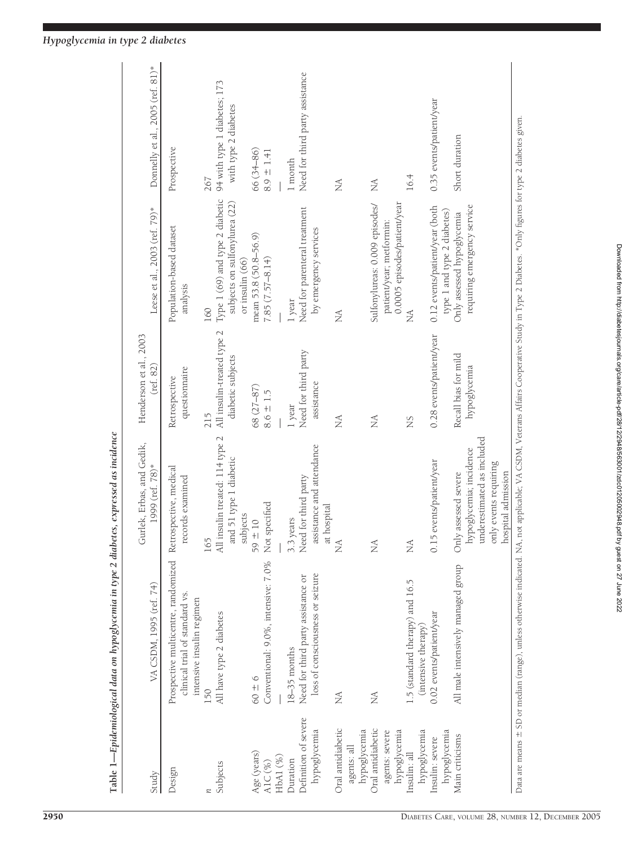|                                                     | Table 1—Epidemiological data on hypoglycemia in type 2 diabetes, expressed as incidence                                                                                                         |                                                                                                                              |                                                        |                                                                         |                                                             |
|-----------------------------------------------------|-------------------------------------------------------------------------------------------------------------------------------------------------------------------------------------------------|------------------------------------------------------------------------------------------------------------------------------|--------------------------------------------------------|-------------------------------------------------------------------------|-------------------------------------------------------------|
| Study                                               | VA CSDM, 1995 (ref. 74)                                                                                                                                                                         | Gurlek, Erbas, and Gedik,<br>1999 (ref. 78)*                                                                                 | Henderson et al., 2003<br>$(\text{ref. } 82)$          | Leese et al., 2003 (ref. 79)*                                           | Donnelly et al., 2005 (ref. 81)*                            |
| Design                                              | Prospective multicentre, randomized<br>clinical trial of standard vs.<br>intensive insulin regimen                                                                                              | Retrospective, medical<br>records examined                                                                                   | questionnaire<br>Retrospective                         | Population-based dataset<br>analysis                                    | Prospective                                                 |
| Subjects<br>n                                       | All have type 2 diabetes<br>150                                                                                                                                                                 | l insulin treated: 114 type 2<br>and 51 type 1 diabetic<br>165<br>$\overline{a}$                                             | All insulin-treated type 2<br>diabetic subjects<br>215 | Type 1 (69) and type 2 diabetic<br>subjects on sulfonylurea (22)<br>160 | 94 with type 1 diabetes; 173<br>with type 2 diabetes<br>267 |
| Age (years)<br>$HbA1$ $(\%)$<br>AIC $(%)$           | Conventional: 9.0%, intensive: 7.0%<br>$60 \pm 6$                                                                                                                                               | Not specified<br>subjects<br>$+10$<br>59                                                                                     | 68 (27-87)<br>$8.6 \pm 1.5$                            | mean 53.8 (50.8-56.9)<br>$7.85(7.57 - 8.14)$<br>or insulin (66)         | 66 (34-86)<br>$8.9 \pm 1.41$                                |
| Definition of severe<br>hypoglycemia<br>Duration    | loss of consciousness or seizure<br>Need for third party assistance or<br>$18-35$ months                                                                                                        | assistance and attendance<br>Need for third party<br>at hospital<br>3.3 years                                                | Need for third party<br>assistance<br>1 year           | Need for parenteral treatment<br>by emergency services<br>1 year        | Need for third party assistance<br>1 month                  |
| Oral antidiabetic<br>agents: all                    | NA                                                                                                                                                                                              | Ź                                                                                                                            | NA                                                     | MA                                                                      | MA                                                          |
| Oral antidiabetic<br>hypoglycemia<br>agents: severe | MA                                                                                                                                                                                              | Ź                                                                                                                            | $\sum_{i=1}^{n}$                                       | Sulfonylureas: 0.009 episodes/<br>patient/year; metformin:              | MA                                                          |
| hypoglycemia<br>Insulin: all                        | 1.5 (standard therapy) and 16.5<br>(intensive therapy)                                                                                                                                          | ž                                                                                                                            | <b>NS</b>                                              | 0.0005 episodes/patient/year                                            | 16.4                                                        |
| hypoglycemia<br>Insulin: severe                     | 0.02 events/patient/year                                                                                                                                                                        | 0.15 events/patient/year                                                                                                     | 0.28 events/patient/year                               | 0.12 events/patient/year (both<br>type 1 and type 2 diabetes)           | 0.35 events/patient/year                                    |
| hypoglycemia<br>Main criticisms                     | All male intensively managed group                                                                                                                                                              | underestimated as included<br>hypoglycemia; incidence<br>only events requiring<br>hospital admission<br>Only assessed severe | Recall bias for mild<br>hypoglycemia                   | requiring emergency service<br>Only assessed hypoglycemia               | Short duration                                              |
|                                                     | Data are means ± SD or median (range), unless otherwise indicated. NA, not applicable; VA CSDM, Veterans Affairs Cooperative Study in Type 2 Diabetes. *Only figures for type 2 diabetes given. |                                                                                                                              |                                                        |                                                                         |                                                             |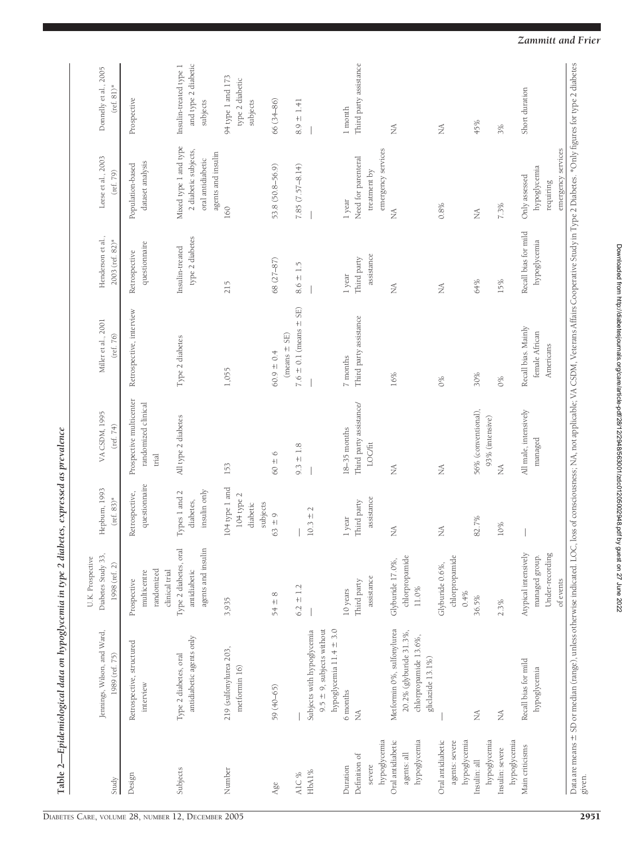| Study                                               | Jennings, Wilson, and Ward,<br>1989 (ref. 75)                                                       | Diabetes Study 33,<br>U.K. Prospective<br>1998 (ref. 2)                | Hepburn, 1993<br>$(ref. 83)*$                        | VA CSDM, 1995<br>(ref. $74$ )                           | Miller et al., 2001<br>(ref. 76)                   | Henderson et al.,<br>2003 (ref. 82)*          | Leese et al., 2003<br>(ref. 79)                                                          | Donnelly et al., 2005<br>$(\text{ref. } 81)$ *            |
|-----------------------------------------------------|-----------------------------------------------------------------------------------------------------|------------------------------------------------------------------------|------------------------------------------------------|---------------------------------------------------------|----------------------------------------------------|-----------------------------------------------|------------------------------------------------------------------------------------------|-----------------------------------------------------------|
| Design                                              | Retrospective, structured<br>interview                                                              | randomized<br>clinical trial<br>multicentre<br>Prospective             | questionnaire<br>Retrospective,                      | Prospective multicenter<br>randomized clinical<br>trial | Retrospective, interview                           | questionnaire<br>Retrospective                | dataset analysis<br>Population-based                                                     | Prospective                                               |
| Subjects                                            | antidiabetic agents only<br>Type 2 diabetes, oral                                                   | Type 2 diabetes, oral<br>agents and insulin<br>antidiabetic            | insulin only<br>Types 1 and 2<br>diabetes,           | All type 2 diabetes                                     | Type 2 diabetes                                    | type 2 diabetes<br>Insulin-treated            | Mixed type 1 and type<br>2 diabetic subjects,<br>agents and insulin<br>oral antidiabetic | and type 2 diabetic<br>Insulin-treated type 1<br>subjects |
| Number                                              | 219 (sulfonylurea 203,<br>metformin 16)                                                             | 3,935                                                                  | 104 type 1 and<br>104 type 2<br>diabetic<br>subjects | 153                                                     | 1,055                                              | 215                                           | 160                                                                                      | 94 type 1 and 173<br>type 2 diabetic<br>subjects          |
| Age                                                 | 59 (40-65)                                                                                          | $\infty$<br>$54 +$                                                     | $63 \pm 9$                                           | $60 \pm 6$                                              | $(means \pm SE)$<br>$60.9 \pm 0.4$                 | 68 (27-87)                                    | 53.8 (50.8-56.9)                                                                         | 66 (34–86)                                                |
| HbA1%<br>A1C%                                       | hypoglycemia 11.4 ± 3.0<br>$9.5 \pm 9$ , subjects without<br>Subjects with hypoglycemia             | $\pm$ 1.2<br>6.2                                                       | $\sim$<br>$10.3 +$                                   | $9.3 \pm 1.8$                                           | $7.6 \pm 0.1$ (means $\pm$ SE)                     | $8.6 \pm 1.5$                                 | $7.85(7.57-8.14)$                                                                        | $8.9 \pm 1.41$                                            |
| hypoglycemia<br>Definition of<br>severe<br>Duration | 6 months<br>Ź                                                                                       | assistance<br>Third party<br>10 years                                  | assistance<br>Third party<br>1 year                  | Third party assistance/<br>$18-35$ months<br>LOC/fit    | Third party assistance<br>7 months                 | assistance<br>Third party<br>1 year           | emergency services<br>Need for parenteral<br>treatment by<br>1 year                      | Third party assistance<br>1 month                         |
| Oral antidiabetic<br>hypoglycemia<br>agents: all    | Metformin 0%, sulfonylurea<br>20.2% (glyburide 31.3%,<br>chlorpropamide 13.6%,<br>gliclazide 13.1%) | chlorpropamide<br>Glyburide 17.0%,<br>$11.0\%$                         | Ź                                                    | Ź                                                       | 16%                                                | $\stackrel{\triangle}{\scriptstyle\triangle}$ | Ź                                                                                        | $\stackrel{\triangle}{\scriptstyle\triangle}$             |
| Oral antidiabetic<br>hypoglycemia<br>agents: severe |                                                                                                     | chlorpropamide<br>Glyburide 0.6%,<br>0.4%                              | $\lessapprox$                                        | Ź                                                       | 0%                                                 | $\stackrel{\triangle}{\scriptstyle\sim}$      | 0.8%                                                                                     | $\lessapprox$                                             |
| hypoglycemia<br>Insulin: all                        | $\lessapprox$                                                                                       | 36.5%                                                                  | 82.7%                                                | 56% (conventional),<br>93% (intensive)                  | 30%                                                | 64%                                           | $\lessapprox$                                                                            | 45%                                                       |
| hypoglycemia<br>Insulin: severe                     | Ź                                                                                                   | 2.3%                                                                   | $10\%$                                               | Ź                                                       | $0\%$                                              | 15%                                           | 7.3%                                                                                     | 3%                                                        |
| Main criticisms                                     | Recall bias for mild<br>hypoglycemia                                                                | Atypical intensively<br>Under-recording<br>managed group.<br>of events |                                                      | All male, intensively<br>managed                        | Recall bias. Mainly<br>female African<br>Americans | Recall bias for mild<br>hypoglycemia          | emergency services<br>hypoglycemia<br>Only assessed<br>requiring                         | Short duration                                            |

Table 2—Epidemiological data on hypoglycemia in type 2 diabetes, expressed as prevalence Table 2—Epidemiological data on hypoglycemia in type 2 diabetes, expressed as prevalence Downloaded from http://diabetesjournals.org/care/article-pdf/28/12/2948/563001/zdc01/205002948.pdf by guest on 27 June 2022 Downloaded from http://diabetesjournals.org/care/article-pdf/28/12/2948/563001/zdc01205002948.pdf by guest on 27 June 2022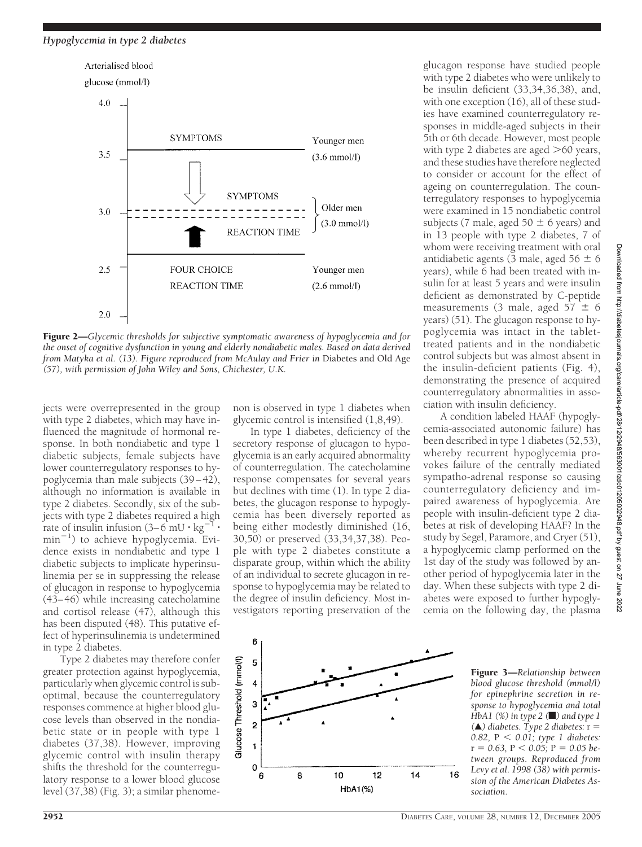

Figure 2—*Glycemic thresholds for subjective symptomatic awareness of hypoglycemia and for the onset of cognitive dysfunction in young and elderly nondiabetic males. Based on data derived from Matyka et al. (13). Figure reproduced from McAulay and Frier in* Diabetes and Old Age *(57), with permission of John Wiley and Sons, Chichester, U.K.*

jects were overrepresented in the group with type 2 diabetes, which may have influenced the magnitude of hormonal response. In both nondiabetic and type 1 diabetic subjects, female subjects have lower counterregulatory responses to hypoglycemia than male subjects (39–42), although no information is available in type 2 diabetes. Secondly, six of the subjects with type 2 diabetes required a high rate of insulin infusion  $(3-6\ \mathrm{mU\cdot kg}^{-1} \cdot$ min<sup>-1</sup>) to achieve hypoglycemia. Evidence exists in nondiabetic and type 1 diabetic subjects to implicate hyperinsulinemia per se in suppressing the release of glucagon in response to hypoglycemia (43–46) while increasing catecholamine and cortisol release (47), although this has been disputed (48). This putative effect of hyperinsulinemia is undetermined in type 2 diabetes.

Type 2 diabetes may therefore confer greater protection against hypoglycemia, particularly when glycemic control is suboptimal, because the counterregulatory responses commence at higher blood glucose levels than observed in the nondiabetic state or in people with type 1 diabetes (37,38). However, improving glycemic control with insulin therapy shifts the threshold for the counterregulatory response to a lower blood glucose level (37,38) (Fig. 3); a similar phenomenon is observed in type 1 diabetes when glycemic control is intensified (1,8,49).

In type 1 diabetes, deficiency of the secretory response of glucagon to hypoglycemia is an early acquired abnormality of counterregulation. The catecholamine response compensates for several years but declines with time (1). In type 2 diabetes, the glucagon response to hypoglycemia has been diversely reported as being either modestly diminished (16, 30,50) or preserved (33,34,37,38). People with type 2 diabetes constitute a disparate group, within which the ability of an individual to secrete glucagon in response to hypoglycemia may be related to the degree of insulin deficiency. Most investigators reporting preservation of the

glucagon response have studied people with type 2 diabetes who were unlikely to be insulin deficient (33,34,36,38), and, with one exception (16), all of these studies have examined counterregulatory responses in middle-aged subjects in their 5th or 6th decade. However, most people with type 2 diabetes are aged  $>60$  years, and these studies have therefore neglected to consider or account for the effect of ageing on counterregulation. The counterregulatory responses to hypoglycemia were examined in 15 nondiabetic control subjects (7 male, aged  $50 \pm 6$  years) and in 13 people with type 2 diabetes, 7 of whom were receiving treatment with oral antidiabetic agents (3 male, aged 56  $\pm$  6 years), while 6 had been treated with insulin for at least 5 years and were insulin deficient as demonstrated by C-peptide measurements (3 male, aged 57  $\pm$  6 years) (51). The glucagon response to hypoglycemia was intact in the tablettreated patients and in the nondiabetic control subjects but was almost absent in the insulin-deficient patients (Fig. 4), demonstrating the presence of acquired counterregulatory abnormalities in association with insulin deficiency.

A condition labeled HAAF (hypoglycemia-associated autonomic failure) has been described in type 1 diabetes (52,53), whereby recurrent hypoglycemia provokes failure of the centrally mediated sympatho-adrenal response so causing counterregulatory deficiency and impaired awareness of hypoglycemia. Are people with insulin-deficient type 2 diabetes at risk of developing HAAF? In the study by Segel, Paramore, and Cryer (51), a hypoglycemic clamp performed on the 1st day of the study was followed by another period of hypoglycemia later in the day. When these subjects with type 2 diabetes were exposed to further hypoglycemia on the following day, the plasma



Figure 3—*Relationship between blood glucose threshold (mmol/l) for epinephrine secretion in response to hypoglycemia and total HbA1 (%) in type 2 (*f*) and type 1 (*Œ*) diabetes. Type 2 diabetes:* r 0.82,  $P < 0.01$ ; type 1 diabetes:  $r = 0.63$ ,  $P < 0.05$ ;  $P = 0.05$  be*tween groups. Reproduced from Levy et al. 1998 (38) with permission of the American Diabetes Association.*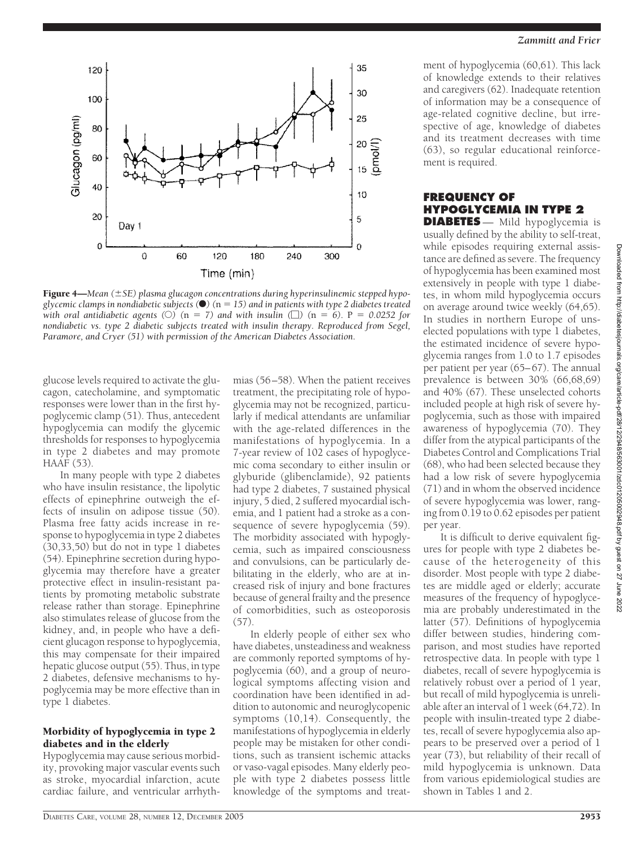

Figure 4—*Mean (SE) plasma glucagon concentrations during hyperinsulinemic stepped hypoglycemic clamps in nondiabetic subjects* ( $\bullet$ ) ( $n = 15$ ) and in patients with type 2 diabetes treated *with oral antidiabetic agents* ( $\circ$ ) ( $n = 7$ ) and with insulin ( $\Box$ ) ( $n = 6$ ). P = 0.0252 for *nondiabetic vs. type 2 diabetic subjects treated with insulin therapy. Reproduced from Segel, Paramore, and Cryer (51) with permission of the American Diabetes Association.*

glucose levels required to activate the glucagon, catecholamine, and symptomatic responses were lower than in the first hypoglycemic clamp (51). Thus, antecedent hypoglycemia can modify the glycemic thresholds for responses to hypoglycemia in type 2 diabetes and may promote HAAF (53).

In many people with type 2 diabetes who have insulin resistance, the lipolytic effects of epinephrine outweigh the effects of insulin on adipose tissue (50). Plasma free fatty acids increase in response to hypoglycemia in type 2 diabetes (30,33,50) but do not in type 1 diabetes (54). Epinephrine secretion during hypoglycemia may therefore have a greater protective effect in insulin-resistant patients by promoting metabolic substrate release rather than storage. Epinephrine also stimulates release of glucose from the kidney, and, in people who have a deficient glucagon response to hypoglycemia, this may compensate for their impaired hepatic glucose output (55). Thus, in type 2 diabetes, defensive mechanisms to hypoglycemia may be more effective than in type 1 diabetes.

#### Morbidity of hypoglycemia in type 2 diabetes and in the elderly

Hypoglycemia may cause serious morbidity, provoking major vascular events such as stroke, myocardial infarction, acute cardiac failure, and ventricular arrhyth-

mias (56–58). When the patient receives treatment, the precipitating role of hypoglycemia may not be recognized, particularly if medical attendants are unfamiliar with the age-related differences in the manifestations of hypoglycemia. In a 7-year review of 102 cases of hypoglycemic coma secondary to either insulin or glyburide (glibenclamide), 92 patients had type 2 diabetes, 7 sustained physical injury, 5 died, 2 suffered myocardial ischemia, and 1 patient had a stroke as a consequence of severe hypoglycemia (59). The morbidity associated with hypoglycemia, such as impaired consciousness and convulsions, can be particularly debilitating in the elderly, who are at increased risk of injury and bone fractures because of general frailty and the presence of comorbidities, such as osteoporosis  $(57)$ 

In elderly people of either sex who have diabetes, unsteadiness and weakness are commonly reported symptoms of hypoglycemia (60), and a group of neurological symptoms affecting vision and coordination have been identified in addition to autonomic and neuroglycopenic symptoms (10,14). Consequently, the manifestations of hypoglycemia in elderly people may be mistaken for other conditions, such as transient ischemic attacks or vaso-vagal episodes. Many elderly people with type 2 diabetes possess little knowledge of the symptoms and treat-

ment of hypoglycemia (60,61). This lack of knowledge extends to their relatives and caregivers (62). Inadequate retention of information may be a consequence of age-related cognitive decline, but irrespective of age, knowledge of diabetes and its treatment decreases with time (63), so regular educational reinforcement is required.

# **FREQUENCY OF HYPOGLYCEMIA IN TYPE 2**

**DIABETES** — Mild hypoglycemia is usually defined by the ability to self-treat, while episodes requiring external assistance are defined as severe. The frequency of hypoglycemia has been examined most extensively in people with type 1 diabetes, in whom mild hypoglycemia occurs on average around twice weekly (64,65). In studies in northern Europe of unselected populations with type 1 diabetes, the estimated incidence of severe hypoglycemia ranges from 1.0 to 1.7 episodes per patient per year (65–67). The annual prevalence is between 30% (66,68,69) and 40% (67). These unselected cohorts included people at high risk of severe hypoglycemia, such as those with impaired awareness of hypoglycemia (70). They differ from the atypical participants of the Diabetes Control and Complications Trial (68), who had been selected because they had a low risk of severe hypoglycemia (71) and in whom the observed incidence of severe hypoglycemia was lower, ranging from 0.19 to 0.62 episodes per patient per year.

It is difficult to derive equivalent figures for people with type 2 diabetes because of the heterogeneity of this disorder. Most people with type 2 diabetes are middle aged or elderly; accurate measures of the frequency of hypoglycemia are probably underestimated in the latter (57). Definitions of hypoglycemia differ between studies, hindering comparison, and most studies have reported retrospective data. In people with type 1 diabetes, recall of severe hypoglycemia is relatively robust over a period of 1 year, but recall of mild hypoglycemia is unreliable after an interval of 1 week (64,72). In people with insulin-treated type 2 diabetes, recall of severe hypoglycemia also appears to be preserved over a period of 1 year (73), but reliability of their recall of mild hypoglycemia is unknown. Data from various epidemiological studies are shown in Tables 1 and 2.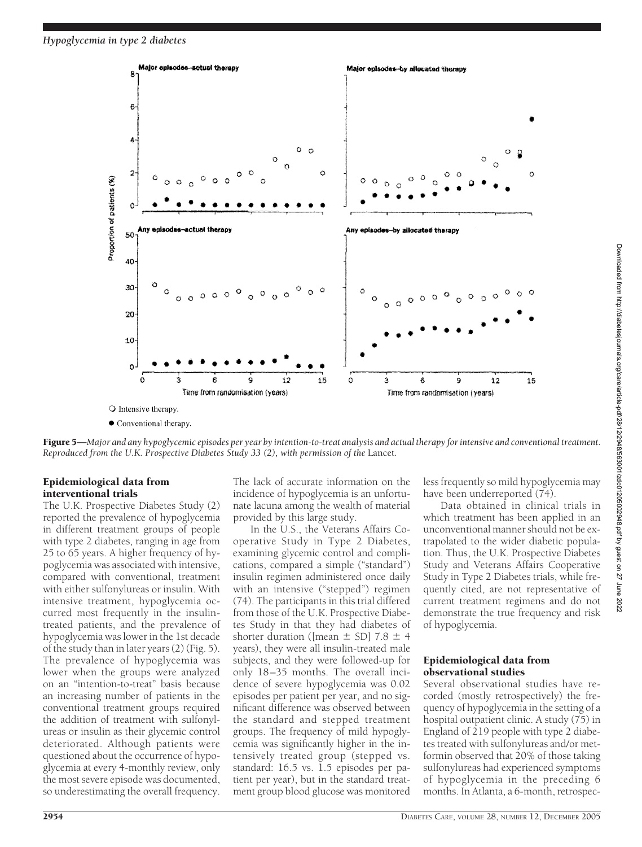

Figure 5—*Major and any hypoglycemic episodes per year by intention-to-treat analysis and actual therapy for intensive and conventional treatment. Reproduced from the U.K. Prospective Diabetes Study 33 (2), with permission of the* Lancet*.*

# Epidemiological data from interventional trials

The U.K. Prospective Diabetes Study (2) reported the prevalence of hypoglycemia in different treatment groups of people with type 2 diabetes, ranging in age from 25 to 65 years. A higher frequency of hypoglycemia was associated with intensive, compared with conventional, treatment with either sulfonylureas or insulin. With intensive treatment, hypoglycemia occurred most frequently in the insulintreated patients, and the prevalence of hypoglycemia was lower in the 1st decade of the study than in later years (2) (Fig. 5). The prevalence of hypoglycemia was lower when the groups were analyzed on an "intention-to-treat" basis because an increasing number of patients in the conventional treatment groups required the addition of treatment with sulfonylureas or insulin as their glycemic control deteriorated. Although patients were questioned about the occurrence of hypoglycemia at every 4-monthly review, only the most severe episode was documented, so underestimating the overall frequency.

The lack of accurate information on the incidence of hypoglycemia is an unfortunate lacuna among the wealth of material provided by this large study.

In the U.S., the Veterans Affairs Cooperative Study in Type 2 Diabetes, examining glycemic control and complications, compared a simple ("standard") insulin regimen administered once daily with an intensive ("stepped") regimen (74). The participants in this trial differed from those of the U.K. Prospective Diabetes Study in that they had diabetes of shorter duration ([mean  $\pm$  SD] 7.8  $\pm$  4 years), they were all insulin-treated male subjects, and they were followed-up for only 18–35 months. The overall incidence of severe hypoglycemia was 0.02 episodes per patient per year, and no significant difference was observed between the standard and stepped treatment groups. The frequency of mild hypoglycemia was significantly higher in the intensively treated group (stepped vs. standard: 16.5 vs. 1.5 episodes per patient per year), but in the standard treatment group blood glucose was monitored

less frequently so mild hypoglycemia may have been underreported (74).

Data obtained in clinical trials in which treatment has been applied in an unconventional manner should not be extrapolated to the wider diabetic population. Thus, the U.K. Prospective Diabetes Study and Veterans Affairs Cooperative Study in Type 2 Diabetes trials, while frequently cited, are not representative of current treatment regimens and do not demonstrate the true frequency and risk of hypoglycemia.

#### Epidemiological data from observational studies

Several observational studies have recorded (mostly retrospectively) the frequency of hypoglycemia in the setting of a hospital outpatient clinic. A study (75) in England of 219 people with type 2 diabetes treated with sulfonylureas and/or metformin observed that 20% of those taking sulfonylureas had experienced symptoms of hypoglycemia in the preceding 6 months. In Atlanta, a 6-month, retrospec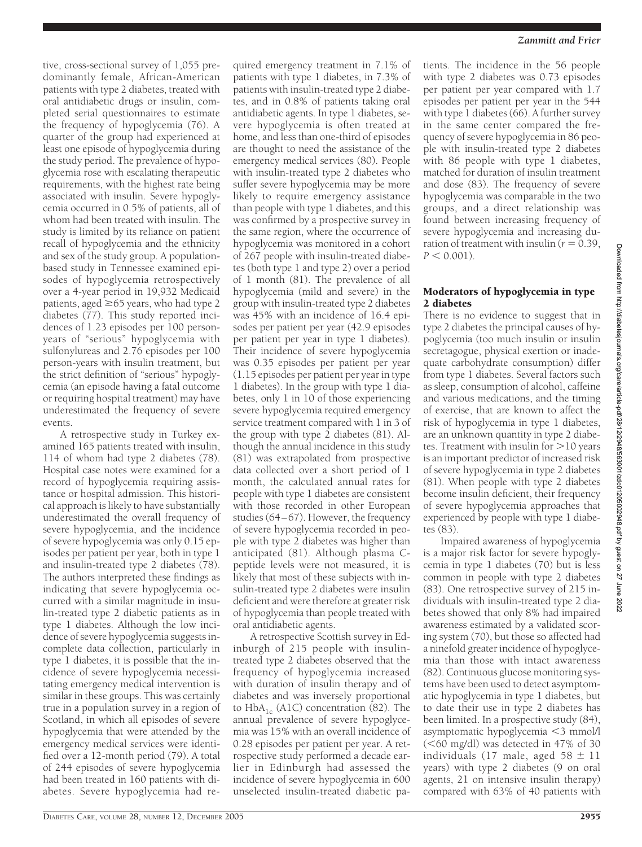tive, cross-sectional survey of 1,055 predominantly female, African-American patients with type 2 diabetes, treated with oral antidiabetic drugs or insulin, completed serial questionnaires to estimate the frequency of hypoglycemia (76). A quarter of the group had experienced at least one episode of hypoglycemia during the study period. The prevalence of hypoglycemia rose with escalating therapeutic requirements, with the highest rate being associated with insulin. Severe hypoglycemia occurred in 0.5% of patients, all of whom had been treated with insulin. The study is limited by its reliance on patient recall of hypoglycemia and the ethnicity and sex of the study group. A populationbased study in Tennessee examined episodes of hypoglycemia retrospectively over a 4-year period in 19,932 Medicaid patients, aged  $\geq$  65 years, who had type 2 diabetes (77). This study reported incidences of 1.23 episodes per 100 personyears of "serious" hypoglycemia with sulfonylureas and 2.76 episodes per 100 person-years with insulin treatment, but the strict definition of "serious" hypoglycemia (an episode having a fatal outcome or requiring hospital treatment) may have underestimated the frequency of severe events.

A retrospective study in Turkey examined 165 patients treated with insulin, 114 of whom had type 2 diabetes (78). Hospital case notes were examined for a record of hypoglycemia requiring assistance or hospital admission. This historical approach is likely to have substantially underestimated the overall frequency of severe hypoglycemia, and the incidence of severe hypoglycemia was only 0.15 episodes per patient per year, both in type 1 and insulin-treated type 2 diabetes (78). The authors interpreted these findings as indicating that severe hypoglycemia occurred with a similar magnitude in insulin-treated type 2 diabetic patients as in type 1 diabetes. Although the low incidence of severe hypoglycemia suggests incomplete data collection, particularly in type 1 diabetes, it is possible that the incidence of severe hypoglycemia necessitating emergency medical intervention is similar in these groups. This was certainly true in a population survey in a region of Scotland, in which all episodes of severe hypoglycemia that were attended by the emergency medical services were identified over a 12-month period (79). A total of 244 episodes of severe hypoglycemia had been treated in 160 patients with diabetes. Severe hypoglycemia had re-

quired emergency treatment in 7.1% of patients with type 1 diabetes, in 7.3% of patients with insulin-treated type 2 diabetes, and in 0.8% of patients taking oral antidiabetic agents. In type 1 diabetes, severe hypoglycemia is often treated at home, and less than one-third of episodes are thought to need the assistance of the emergency medical services (80). People with insulin-treated type 2 diabetes who suffer severe hypoglycemia may be more likely to require emergency assistance than people with type 1 diabetes, and this was confirmed by a prospective survey in the same region, where the occurrence of hypoglycemia was monitored in a cohort of 267 people with insulin-treated diabetes (both type 1 and type 2) over a period of 1 month (81). The prevalence of all hypoglycemia (mild and severe) in the group with insulin-treated type 2 diabetes was 45% with an incidence of 16.4 episodes per patient per year (42.9 episodes per patient per year in type 1 diabetes). Their incidence of severe hypoglycemia was 0.35 episodes per patient per year (1.15 episodes per patient per year in type 1 diabetes). In the group with type 1 diabetes, only 1 in 10 of those experiencing severe hypoglycemia required emergency service treatment compared with 1 in 3 of the group with type  $2$  diabetes  $(81)$ . Although the annual incidence in this study (81) was extrapolated from prospective data collected over a short period of 1 month, the calculated annual rates for people with type 1 diabetes are consistent with those recorded in other European studies (64–67). However, the frequency of severe hypoglycemia recorded in people with type 2 diabetes was higher than anticipated (81). Although plasma Cpeptide levels were not measured, it is likely that most of these subjects with insulin-treated type 2 diabetes were insulin deficient and were therefore at greater risk of hypoglycemia than people treated with oral antidiabetic agents.

A retrospective Scottish survey in Edinburgh of 215 people with insulintreated type 2 diabetes observed that the frequency of hypoglycemia increased with duration of insulin therapy and of diabetes and was inversely proportional to  $HbA_{1c}$  (A1C) concentration (82). The annual prevalence of severe hypoglycemia was 15% with an overall incidence of 0.28 episodes per patient per year. A retrospective study performed a decade earlier in Edinburgh had assessed the incidence of severe hypoglycemia in 600 unselected insulin-treated diabetic patients. The incidence in the 56 people with type 2 diabetes was 0.73 episodes per patient per year compared with 1.7 episodes per patient per year in the 544 with type 1 diabetes (66). A further survey in the same center compared the frequency of severe hypoglycemia in 86 people with insulin-treated type 2 diabetes with 86 people with type 1 diabetes, matched for duration of insulin treatment and dose (83). The frequency of severe hypoglycemia was comparable in the two groups, and a direct relationship was found between increasing frequency of severe hypoglycemia and increasing duration of treatment with insulin ( $r = 0.39$ ,  $P < 0.001$ ).

#### Moderators of hypoglycemia in type 2 diabetes

There is no evidence to suggest that in type 2 diabetes the principal causes of hypoglycemia (too much insulin or insulin secretagogue, physical exertion or inadequate carbohydrate consumption) differ from type 1 diabetes. Several factors such as sleep, consumption of alcohol, caffeine and various medications, and the timing of exercise, that are known to affect the risk of hypoglycemia in type 1 diabetes, are an unknown quantity in type 2 diabetes. Treatment with insulin for  $>$ 10 years is an important predictor of increased risk of severe hypoglycemia in type 2 diabetes (81). When people with type 2 diabetes become insulin deficient, their frequency of severe hypoglycemia approaches that experienced by people with type 1 diabetes (83).

Impaired awareness of hypoglycemia is a major risk factor for severe hypoglycemia in type 1 diabetes (70) but is less common in people with type 2 diabetes (83). One retrospective survey of 215 individuals with insulin-treated type 2 diabetes showed that only 8% had impaired awareness estimated by a validated scoring system (70), but those so affected had a ninefold greater incidence of hypoglycemia than those with intact awareness (82). Continuous glucose monitoring systems have been used to detect asymptomatic hypoglycemia in type 1 diabetes, but to date their use in type 2 diabetes has been limited. In a prospective study (84), asymptomatic hypoglycemia  $<$ 3 mmol/l  $(<$ 60 mg/dl) was detected in 47% of 30 individuals (17 male, aged  $58 \pm 11$ years) with type 2 diabetes (9 on oral agents, 21 on intensive insulin therapy) compared with 63% of 40 patients with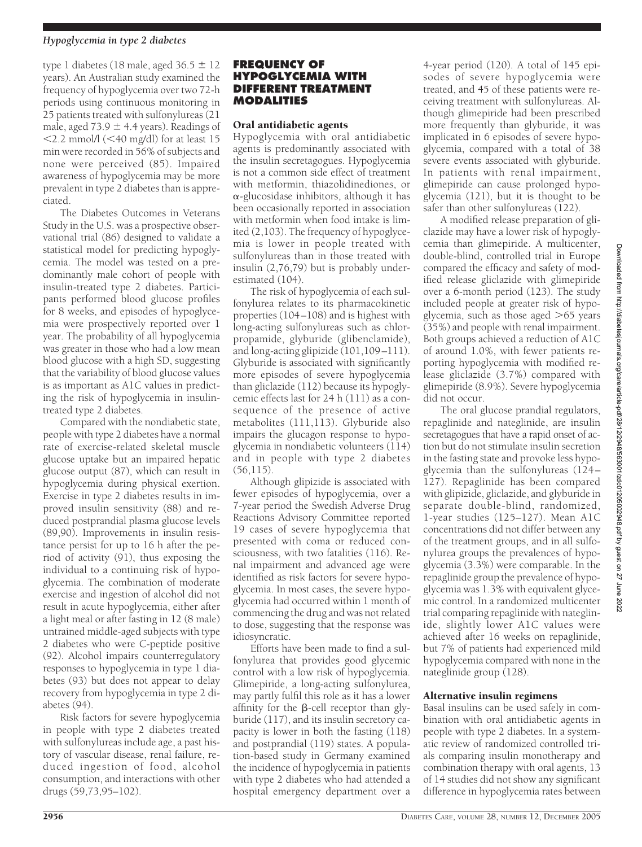type 1 diabetes (18 male, aged  $36.5 \pm 12$ years). An Australian study examined the frequency of hypoglycemia over two 72-h periods using continuous monitoring in 25 patients treated with sulfonylureas (21 male, aged 73.9  $\pm$  4.4 years). Readings of  $\langle$ 2.2 mmol/l ( $\langle$ 40 mg/dl) for at least 15 min were recorded in 56% of subjects and none were perceived (85). Impaired awareness of hypoglycemia may be more prevalent in type 2 diabetes than is appreciated.

The Diabetes Outcomes in Veterans Study in the U.S. was a prospective observational trial (86) designed to validate a statistical model for predicting hypoglycemia. The model was tested on a predominantly male cohort of people with insulin-treated type 2 diabetes. Participants performed blood glucose profiles for 8 weeks, and episodes of hypoglycemia were prospectively reported over 1 year. The probability of all hypoglycemia was greater in those who had a low mean blood glucose with a high SD, suggesting that the variability of blood glucose values is as important as A1C values in predicting the risk of hypoglycemia in insulintreated type 2 diabetes.

Compared with the nondiabetic state, people with type 2 diabetes have a normal rate of exercise-related skeletal muscle glucose uptake but an impaired hepatic glucose output (87), which can result in hypoglycemia during physical exertion. Exercise in type 2 diabetes results in improved insulin sensitivity (88) and reduced postprandial plasma glucose levels (89,90). Improvements in insulin resistance persist for up to 16 h after the period of activity (91), thus exposing the individual to a continuing risk of hypoglycemia. The combination of moderate exercise and ingestion of alcohol did not result in acute hypoglycemia, either after a light meal or after fasting in 12 (8 male) untrained middle-aged subjects with type 2 diabetes who were C-peptide positive (92). Alcohol impairs counterregulatory responses to hypoglycemia in type 1 diabetes (93) but does not appear to delay recovery from hypoglycemia in type 2 diabetes (94).

Risk factors for severe hypoglycemia in people with type 2 diabetes treated with sulfonylureas include age, a past history of vascular disease, renal failure, reduced ingestion of food, alcohol consumption, and interactions with other drugs (59,73,95–102).

#### **FREQUENCY OF HYPOGLYCEMIA WITH DIFFERENT TREATMENT MODALITIES**

#### Oral antidiabetic agents

Hypoglycemia with oral antidiabetic agents is predominantly associated with the insulin secretagogues. Hypoglycemia is not a common side effect of treatment with metformin, thiazolidinediones, or  $\alpha$ -glucosidase inhibitors, although it has been occasionally reported in association with metformin when food intake is limited (2,103). The frequency of hypoglycemia is lower in people treated with sulfonylureas than in those treated with insulin (2,76,79) but is probably underestimated (104).

The risk of hypoglycemia of each sulfonylurea relates to its pharmacokinetic properties (104–108) and is highest with long-acting sulfonylureas such as chlorpropamide, glyburide (glibenclamide), and long-acting glipizide (101,109–111). Glyburide is associated with significantly more episodes of severe hypoglycemia than gliclazide (112) because its hypoglycemic effects last for 24 h (111) as a consequence of the presence of active metabolites (111,113). Glyburide also impairs the glucagon response to hypoglycemia in nondiabetic volunteers (114) and in people with type 2 diabetes  $(56,115)$ .

Although glipizide is associated with fewer episodes of hypoglycemia, over a 7-year period the Swedish Adverse Drug Reactions Advisory Committee reported 19 cases of severe hypoglycemia that presented with coma or reduced consciousness, with two fatalities (116). Renal impairment and advanced age were identified as risk factors for severe hypoglycemia. In most cases, the severe hypoglycemia had occurred within 1 month of commencing the drug and was not related to dose, suggesting that the response was idiosyncratic.

Efforts have been made to find a sulfonylurea that provides good glycemic control with a low risk of hypoglycemia. Glimepiride, a long-acting sulfonylurea, may partly fulfil this role as it has a lower affinity for the  $\beta$ -cell receptor than glyburide (117), and its insulin secretory capacity is lower in both the fasting (118) and postprandial (119) states. A population-based study in Germany examined the incidence of hypoglycemia in patients with type 2 diabetes who had attended a hospital emergency department over a

4-year period (120). A total of 145 episodes of severe hypoglycemia were treated, and 45 of these patients were receiving treatment with sulfonylureas. Although glimepiride had been prescribed more frequently than glyburide, it was implicated in 6 episodes of severe hypoglycemia, compared with a total of 38 severe events associated with glyburide. In patients with renal impairment, glimepiride can cause prolonged hypoglycemia (121), but it is thought to be safer than other sulfonylureas (122).

A modified release preparation of gliclazide may have a lower risk of hypoglycemia than glimepiride. A multicenter, double-blind, controlled trial in Europe compared the efficacy and safety of modified release gliclazide with glimepiride over a 6-month period (123). The study included people at greater risk of hypoglycemia, such as those aged  $>65$  years (35%) and people with renal impairment. Both groups achieved a reduction of A1C of around 1.0%, with fewer patients reporting hypoglycemia with modified release gliclazide (3.7%) compared with glimepiride (8.9%). Severe hypoglycemia did not occur.

The oral glucose prandial regulators, repaglinide and nateglinide, are insulin secretagogues that have a rapid onset of action but do not stimulate insulin secretion in the fasting state and provoke less hypoglycemia than the sulfonylureas (124– 127). Repaglinide has been compared with glipizide, gliclazide, and glyburide in separate double-blind, randomized, 1-year studies (125–127). Mean A1C concentrations did not differ between any of the treatment groups, and in all sulfonylurea groups the prevalences of hypoglycemia (3.3%) were comparable. In the repaglinide group the prevalence of hypoglycemia was 1.3% with equivalent glycemic control. In a randomized multicenter trial comparing repaglinide with nateglinide, slightly lower A1C values were achieved after 16 weeks on repaglinide, but 7% of patients had experienced mild hypoglycemia compared with none in the nateglinide group (128).

# Alternative insulin regimens

Basal insulins can be used safely in combination with oral antidiabetic agents in people with type 2 diabetes. In a systematic review of randomized controlled trials comparing insulin monotherapy and combination therapy with oral agents, 13 of 14 studies did not show any significant difference in hypoglycemia rates between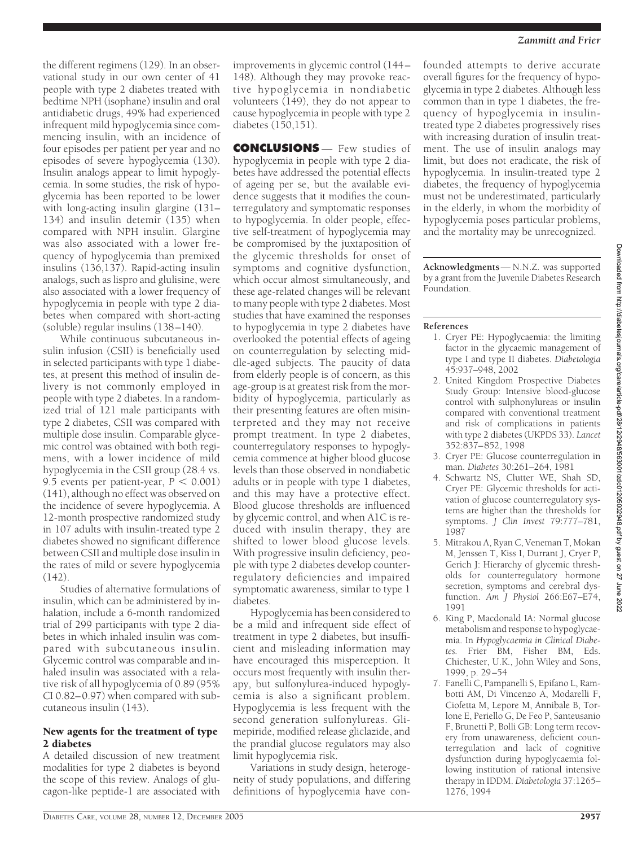the different regimens (129). In an observational study in our own center of 41 people with type 2 diabetes treated with bedtime NPH (isophane) insulin and oral antidiabetic drugs, 49% had experienced infrequent mild hypoglycemia since commencing insulin, with an incidence of four episodes per patient per year and no episodes of severe hypoglycemia (130). Insulin analogs appear to limit hypoglycemia. In some studies, the risk of hypoglycemia has been reported to be lower with long-acting insulin glargine (131– 134) and insulin detemir (135) when compared with NPH insulin. Glargine was also associated with a lower frequency of hypoglycemia than premixed insulins (136,137). Rapid-acting insulin analogs, such as lispro and glulisine, were also associated with a lower frequency of hypoglycemia in people with type 2 diabetes when compared with short-acting (soluble) regular insulins (138–140).

While continuous subcutaneous insulin infusion (CSII) is beneficially used in selected participants with type 1 diabetes, at present this method of insulin delivery is not commonly employed in people with type 2 diabetes. In a randomized trial of 121 male participants with type 2 diabetes, CSII was compared with multiple dose insulin. Comparable glycemic control was obtained with both regimens, with a lower incidence of mild hypoglycemia in the CSII group (28.4 vs. 9.5 events per patient-year,  $P < 0.001$ ) (141), although no effect was observed on the incidence of severe hypoglycemia. A 12-month prospective randomized study in 107 adults with insulin-treated type 2 diabetes showed no significant difference between CSII and multiple dose insulin in the rates of mild or severe hypoglycemia (142).

Studies of alternative formulations of insulin, which can be administered by inhalation, include a 6-month randomized trial of 299 participants with type 2 diabetes in which inhaled insulin was compared with subcutaneous insulin. Glycemic control was comparable and inhaled insulin was associated with a relative risk of all hypoglycemia of 0.89 (95% CI 0.82–0.97) when compared with subcutaneous insulin (143).

#### New agents for the treatment of type 2 diabetes

A detailed discussion of new treatment modalities for type 2 diabetes is beyond the scope of this review. Analogs of glucagon-like peptide-1 are associated with

improvements in glycemic control (144– 148). Although they may provoke reactive hypoglycemia in nondiabetic volunteers (149), they do not appear to cause hypoglycemia in people with type 2 diabetes (150,151).

**CONCLUSIONS** — Few studies of hypoglycemia in people with type 2 diabetes have addressed the potential effects of ageing per se, but the available evidence suggests that it modifies the counterregulatory and symptomatic responses to hypoglycemia. In older people, effective self-treatment of hypoglycemia may be compromised by the juxtaposition of the glycemic thresholds for onset of symptoms and cognitive dysfunction, which occur almost simultaneously, and these age-related changes will be relevant to many people with type 2 diabetes. Most studies that have examined the responses to hypoglycemia in type 2 diabetes have overlooked the potential effects of ageing on counterregulation by selecting middle-aged subjects. The paucity of data from elderly people is of concern, as this age-group is at greatest risk from the morbidity of hypoglycemia, particularly as their presenting features are often misinterpreted and they may not receive prompt treatment. In type 2 diabetes, counterregulatory responses to hypoglycemia commence at higher blood glucose levels than those observed in nondiabetic adults or in people with type 1 diabetes, and this may have a protective effect. Blood glucose thresholds are influenced by glycemic control, and when A1C is reduced with insulin therapy, they are shifted to lower blood glucose levels. With progressive insulin deficiency, people with type 2 diabetes develop counterregulatory deficiencies and impaired symptomatic awareness, similar to type 1 diabetes.

Hypoglycemia has been considered to be a mild and infrequent side effect of treatment in type 2 diabetes, but insufficient and misleading information may have encouraged this misperception. It occurs most frequently with insulin therapy, but sulfonylurea-induced hypoglycemia is also a significant problem. Hypoglycemia is less frequent with the second generation sulfonylureas. Glimepiride, modified release gliclazide, and the prandial glucose regulators may also limit hypoglycemia risk.

Variations in study design, heterogeneity of study populations, and differing definitions of hypoglycemia have confounded attempts to derive accurate overall figures for the frequency of hypoglycemia in type 2 diabetes. Although less common than in type 1 diabetes, the frequency of hypoglycemia in insulintreated type 2 diabetes progressively rises with increasing duration of insulin treatment. The use of insulin analogs may limit, but does not eradicate, the risk of hypoglycemia. In insulin-treated type 2 diabetes, the frequency of hypoglycemia must not be underestimated, particularly in the elderly, in whom the morbidity of hypoglycemia poses particular problems, and the mortality may be unrecognized.

**Acknowledgments**— N.N.Z. was supported by a grant from the Juvenile Diabetes Research Foundation.

# **References**

- 1. Cryer PE: Hypoglycaemia: the limiting factor in the glycaemic management of type I and type II diabetes. *Diabetologia* 45:937–948, 2002
- 2. United Kingdom Prospective Diabetes Study Group: Intensive blood-glucose control with sulphonylureas or insulin compared with conventional treatment and risk of complications in patients with type 2 diabetes (UKPDS 33). *Lancet* 352:837–852, 1998
- 3. Cryer PE: Glucose counterregulation in man. *Diabetes* 30:261–264, 1981
- 4. Schwartz NS, Clutter WE, Shah SD, Cryer PE: Glycemic thresholds for activation of glucose counterregulatory systems are higher than the thresholds for symptoms. *J Clin Invest* 79:777–781, 1987
- 5. Mitrakou A, Ryan C, Veneman T, Mokan M, Jenssen T, Kiss I, Durrant J, Cryer P, Gerich J: Hierarchy of glycemic thresholds for counterregulatory hormone secretion, symptoms and cerebral dysfunction. *Am J Physiol* 266:E67–E74, 1991
- 6. King P, Macdonald IA: Normal glucose metabolism and response to hypoglycaemia. In *Hypoglycaemia in Clinical Diabetes.* Frier BM, Fisher BM, Eds. Chichester, U.K., John Wiley and Sons, 1999, p. 29–54
- 7. Fanelli C, Pampanelli S, Epifano L, Rambotti AM, Di Vincenzo A, Modarelli F, Ciofetta M, Lepore M, Annibale B, Torlone E, Periello G, De Feo P, Santeusanio F, Brunetti P, Bolli GB: Long term recovery from unawareness, deficient counterregulation and lack of cognitive dysfunction during hypoglycaemia following institution of rational intensive therapy in IDDM. *Diabetologia* 37:1265– 1276, 1994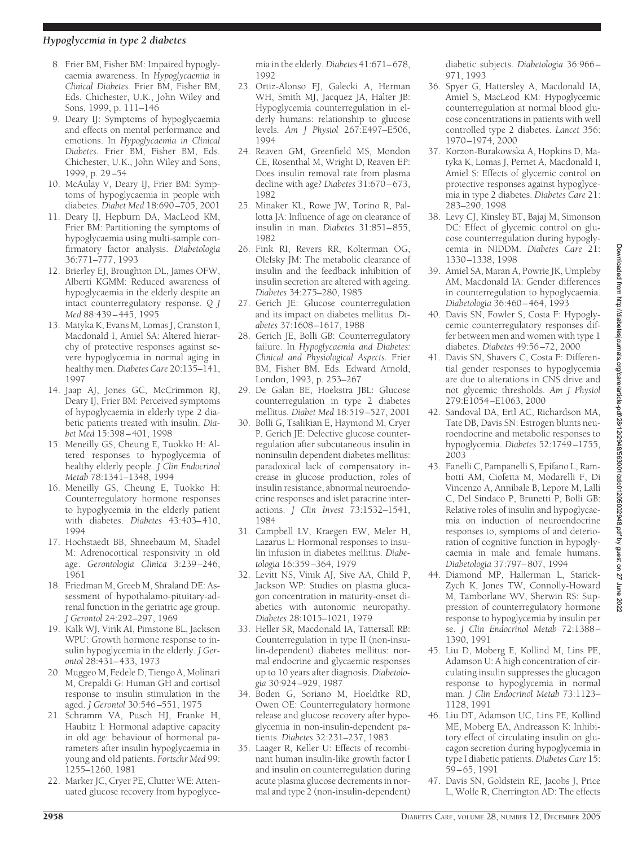- 8. Frier BM, Fisher BM: Impaired hypoglycaemia awareness. In *Hypoglycaemia in Clinical Diabetes.* Frier BM, Fisher BM, Eds. Chichester, U.K., John Wiley and Sons, 1999, p. 111–146
- 9. Deary IJ: Symptoms of hypoglycaemia and effects on mental performance and emotions. In *Hypoglycaemia in Clinical Diabetes.* Frier BM, Fisher BM, Eds. Chichester, U.K., John Wiley and Sons, 1999, p. 29–54
- 10. McAulay V, Deary IJ, Frier BM: Symptoms of hypoglycaemia in people with diabetes. *Diabet Med* 18:690–705, 2001
- 11. Deary IJ, Hepburn DA, MacLeod KM, Frier BM: Partitioning the symptoms of hypoglycaemia using multi-sample confirmatory factor analysis. *Diabetologia* 36:771–777, 1993
- 12. Brierley EJ, Broughton DL, James OFW, Alberti KGMM: Reduced awareness of hypoglycaemia in the elderly despite an intact counterregulatory response. *Q J Med* 88:439–445, 1995
- 13. Matyka K, Evans M, Lomas J, Cranston I, Macdonald I, Amiel SA: Altered hierarchy of protective responses against severe hypoglycemia in normal aging in healthy men. *Diabetes Care* 20:135–141, 1997
- 14. Jaap AJ, Jones GC, McCrimmon RJ, Deary IJ, Frier BM: Perceived symptoms of hypoglycaemia in elderly type 2 diabetic patients treated with insulin. *Diabet Med* 15:398–401, 1998
- 15. Meneilly GS, Cheung E, Tuokko H: Altered responses to hypoglycemia of healthy elderly people. *J Clin Endocrinol Metab* 78:1341–1348, 1994
- 16. Meneilly GS, Cheung E, Tuokko H: Counterregulatory hormone responses to hypoglycemia in the elderly patient with diabetes. *Diabetes* 43:403–410, 1994
- 17. Hochstaedt BB, Shneebaum M, Shadel M: Adrenocortical responsivity in old age. *Gerontologia Clinica* 3:239–246, 1961
- 18. Friedman M, Greeb M, Shraland DE: Assessment of hypothalamo-pituitary-adrenal function in the geriatric age group. *J Gerontol* 24:292–297, 1969
- 19. Kalk WJ, Virik AI, Pimstone BL, Jackson WPU: Growth hormone response to insulin hypoglycemia in the elderly. *J Gerontol* 28:431–433, 1973
- 20. Muggeo M, Fedele D, Tiengo A, Molinari M, Crepaldi G: Human GH and cortisol response to insulin stimulation in the aged. *J Gerontol* 30:546–551, 1975
- 21. Schramm VA, Pusch HJ, Franke H, Haubitz I: Hormonal adaptive capacity in old age: behaviour of hormonal parameters after insulin hypoglycaemia in young and old patients. *Fortschr Med* 99: 1255–1260, 1981
- 22. Marker JC, Cryer PE, Clutter WE: Attenuated glucose recovery from hypoglyce-

mia in the elderly. *Diabetes* 41:671–678, 1992

- 23. Ortiz-Alonso FJ, Galecki A, Herman WH, Smith MJ, Jacquez JA, Halter JB: Hypoglycemia counterregulation in elderly humans: relationship to glucose levels. *Am J Physiol* 267:E497–E506, 1994
- 24. Reaven GM, Greenfield MS, Mondon CE, Rosenthal M, Wright D, Reaven EP: Does insulin removal rate from plasma decline with age? *Diabetes* 31:670–673, 1982
- 25. Minaker KL, Rowe JW, Torino R, Pallotta JA: Influence of age on clearance of insulin in man. *Diabetes* 31:851–855, 1982
- 26. Fink RI, Revers RR, Kolterman OG, Olefsky JM: The metabolic clearance of insulin and the feedback inhibition of insulin secretion are altered with ageing. *Diabetes* 34:275–280, 1985
- 27. Gerich JE: Glucose counterregulation and its impact on diabetes mellitus. *Diabetes* 37:1608–1617, 1988
- 28. Gerich JE, Bolli GB: Counterregulatory failure. In *Hypoglycaemia and Diabetes: Clinical and Physiological Aspects.* Frier BM, Fisher BM, Eds. Edward Arnold, London, 1993, p. 253–267
- 29. De Galan BE, Hoekstra JBL: Glucose counterregulation in type 2 diabetes mellitus. *Diabet Med* 18:519–527, 2001
- 30. Bolli G, Tsalikian E, Haymond M, Cryer P, Gerich JE: Defective glucose counterregulation after subcutaneous insulin in noninsulin dependent diabetes mellitus: paradoxical lack of compensatory increase in glucose production, roles of insulin resistance, abnormal neuroendocrine responses and islet paracrine interactions. *J Clin Invest* 73:1532–1541, 1984
- 31. Campbell LV, Kraegen EW, Meler H, Lazarus L: Hormonal responses to insulin infusion in diabetes mellitus. *Diabetologia* 16:359–364, 1979
- 32. Levitt NS, Vinik AJ, Sive AA, Child P, Jackson WP: Studies on plasma glucagon concentration in maturity-onset diabetics with autonomic neuropathy. *Diabetes* 28:1015–1021, 1979
- 33. Heller SR, Macdonald IA, Tattersall RB: Counterregulation in type II (non-insulin-dependent) diabetes mellitus: normal endocrine and glycaemic responses up to 10 years after diagnosis. *Diabetologia* 30:924–929, 1987
- 34. Boden G, Soriano M, Hoeldtke RD, Owen OE: Counterregulatory hormone release and glucose recovery after hypoglycemia in non-insulin-dependent patients. *Diabetes* 32:231–237, 1983
- 35. Laager R, Keller U: Effects of recombinant human insulin-like growth factor I and insulin on counterregulation during acute plasma glucose decrements in normal and type 2 (non-insulin-dependent)

diabetic subjects. *Diabetologia* 36:966– 971, 1993

- 36. Spyer G, Hattersley A, Macdonald IA, Amiel S, MacLeod KM: Hypoglycemic counterregulation at normal blood glucose concentrations in patients with well controlled type 2 diabetes. *Lancet* 356: 1970–1974, 2000
- 37. Korzon-Burakowska A, Hopkins D, Matyka K, Lomas J, Pernet A, Macdonald I, Amiel S: Effects of glycemic control on protective responses against hypoglycemia in type 2 diabetes. *Diabetes Care* 21: 283–290, 1998
- 38. Levy CJ, Kinsley BT, Bajaj M, Simonson DC: Effect of glycemic control on glucose counterregulation during hypoglycemia in NIDDM. *Diabetes Care* 21: 1330–1338, 1998
- 39. Amiel SA, Maran A, Powrie JK, Umpleby AM, Macdonald IA: Gender differences in counterregulation to hypoglycaemia. *Diabetologia* 36:460–464, 1993
- 40. Davis SN, Fowler S, Costa F: Hypoglycemic counterregulatory responses differ between men and women with type 1 diabetes. *Diabetes* 49:56–72, 2000
- 41. Davis SN, Shavers C, Costa F: Differential gender responses to hypoglycemia are due to alterations in CNS drive and not glycemic thresholds. *Am J Physiol* 279:E1054–E1063, 2000
- 42. Sandoval DA, Ertl AC, Richardson MA, Tate DB, Davis SN: Estrogen blunts neuroendocrine and metabolic responses to hypoglycemia. *Diabetes* 52:1749–1755, 2003
- 43. Fanelli C, Pampanelli S, Epifano L, Rambotti AM, Ciofetta M, Modarelli F, Di Vincenzo A, Annibale B, Lepore M, Lalli C, Del Sindaco P, Brunetti P, Bolli GB: Relative roles of insulin and hypoglycaemia on induction of neuroendocrine responses to, symptoms of and deterioration of cognitive function in hypoglycaemia in male and female humans. *Diabetologia* 37:797–807, 1994
- 44. Diamond MP, Hallerman L, Starick-Zych K, Jones TW, Connolly-Howard M, Tamborlane WV, Sherwin RS: Suppression of counterregulatory hormone response to hypoglycemia by insulin per se. *J Clin Endocrinol Metab* 72:1388– 1390, 1991
- 45. Liu D, Moberg E, Kollind M, Lins PE, Adamson U: A high concentration of circulating insulin suppresses the glucagon response to hypoglycemia in normal man. *J Clin Endocrinol Metab* 73:1123– 1128, 1991
- 46. Liu DT, Adamson UC, Lins PE, Kollind ME, Moberg EA, Andreasson K: Inhibitory effect of circulating insulin on glucagon secretion during hypoglycemia in type I diabetic patients.*Diabetes Care* 15: 59–65, 1991
- 47. Davis SN, Goldstein RE, Jacobs J, Price L, Wolfe R, Cherrington AD: The effects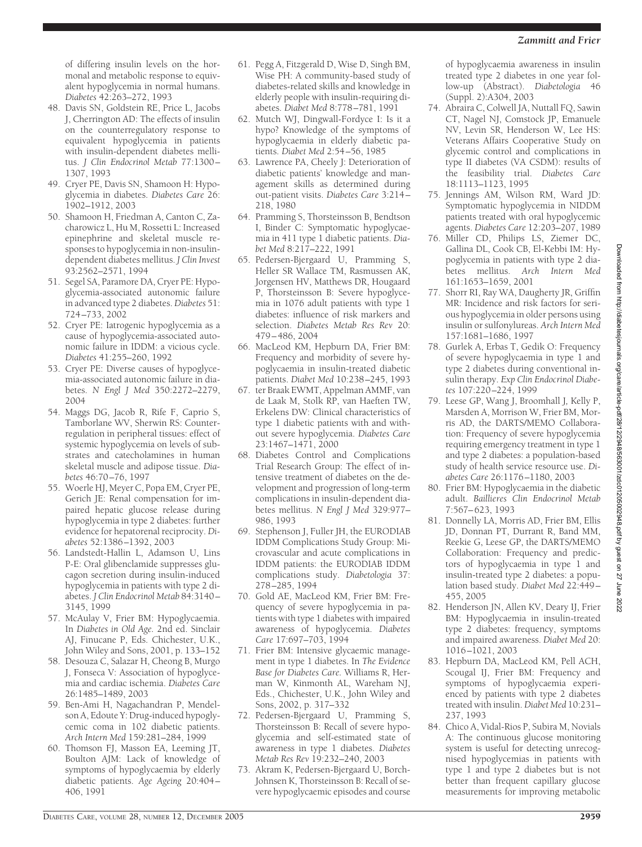of differing insulin levels on the hormonal and metabolic response to equivalent hypoglycemia in normal humans. *Diabetes* 42:263–272, 1993

- 48. Davis SN, Goldstein RE, Price L, Jacobs J, Cherrington AD: The effects of insulin on the counterregulatory response to equivalent hypoglycemia in patients with insulin-dependent diabetes mellitus. *J Clin Endocrinol Metab* 77:1300– 1307, 1993
- 49. Cryer PE, Davis SN, Shamoon H: Hypoglycemia in diabetes. *Diabetes Care* 26: 1902–1912, 2003
- 50. Shamoon H, Friedman A, Canton C, Zacharowicz L, Hu M, Rossetti L: Increased epinephrine and skeletal muscle responses to hypoglycemia in non-insulindependent diabetes mellitus. *J Clin Invest* 93:2562–2571, 1994
- 51. Segel SA, Paramore DA, Cryer PE: Hypoglycemia-associated autonomic failure in advanced type 2 diabetes. *Diabetes* 51: 724–733, 2002
- 52. Cryer PE: Iatrogenic hypoglycemia as a cause of hypoglycemia-associated autonomic failure in IDDM: a vicious cycle. *Diabetes* 41:255–260, 1992
- 53. Cryer PE: Diverse causes of hypoglycemia-associated autonomic failure in diabetes. *N Engl J Med* 350:2272–2279, 2004
- 54. Maggs DG, Jacob R, Rife F, Caprio S, Tamborlane WV, Sherwin RS: Counterregulation in peripheral tissues: effect of systemic hypoglycemia on levels of substrates and catecholamines in human skeletal muscle and adipose tissue. *Diabetes* 46:70–76, 1997
- 55. Woerle HJ, Meyer C, Popa EM, Cryer PE, Gerich JE: Renal compensation for impaired hepatic glucose release during hypoglycemia in type 2 diabetes: further evidence for hepatorenal reciprocity. *Diabetes* 52:1386–1392, 2003
- 56. Landstedt-Hallin L, Adamson U, Lins P-E: Oral glibenclamide suppresses glucagon secretion during insulin-induced hypoglycemia in patients with type 2 diabetes. *J Clin Endocrinol Metab* 84:3140– 3145, 1999
- 57. McAulay V, Frier BM: Hypoglycaemia. In *Diabetes in Old Age.* 2nd ed. Sinclair AJ, Finucane P, Eds. Chichester, U.K., John Wiley and Sons, 2001, p. 133–152
- 58. Desouza C, Salazar H, Cheong B, Murgo J, Fonseca V: Association of hypoglycemia and cardiac ischemia. *Diabetes Care* 26:1485–1489, 2003
- 59. Ben-Ami H, Nagachandran P, Mendelson A, Edoute Y: Drug-induced hypoglycemic coma in 102 diabetic patients. *Arch Intern Med* 159:281–284, 1999
- 60. Thomson FJ, Masson EA, Leeming JT, Boulton AJM: Lack of knowledge of symptoms of hypoglycaemia by elderly diabetic patients. *Age Ageing* 20:404– 406, 1991
- 61. Pegg A, Fitzgerald D, Wise D, Singh BM, Wise PH: A community-based study of diabetes-related skills and knowledge in elderly people with insulin-requiring diabetes. *Diabet Med* 8:778–781, 1991
- 62. Mutch WJ, Dingwall-Fordyce I: Is it a hypo? Knowledge of the symptoms of hypoglycaemia in elderly diabetic patients. *Diabet Med* 2:54–56, 1985
- 63. Lawrence PA, Cheely J: Deterioration of diabetic patients' knowledge and management skills as determined during out-patient visits. *Diabetes Care* 3:214– 218, 1980
- 64. Pramming S, Thorsteinsson B, Bendtson I, Binder C: Symptomatic hypoglycaemia in 411 type 1 diabetic patients. *Diabet Med* 8:217–222, 1991
- 65. Pedersen-Bjergaard U, Pramming S, Heller SR Wallace TM, Rasmussen AK, Jorgensen HV, Matthews DR, Hougaard P, Thorsteinsson B: Severe hypoglycemia in 1076 adult patients with type 1 diabetes: influence of risk markers and selection. *Diabetes Metab Res Rev* 20: 479–486, 2004
- 66. MacLeod KM, Hepburn DA, Frier BM: Frequency and morbidity of severe hypoglycaemia in insulin-treated diabetic patients. *Diabet Med* 10:238–245, 1993
- 67. ter Braak EWMT, Appelman AMMF, van de Laak M, Stolk RP, van Haeften TW, Erkelens DW: Clinical characteristics of type 1 diabetic patients with and without severe hypoglycemia. *Diabetes Care* 23:1467–1471, 2000
- 68. Diabetes Control and Complications Trial Research Group: The effect of intensive treatment of diabetes on the development and progression of long-term complications in insulin-dependent diabetes mellitus. *N Engl J Med* 329:977– 986, 1993
- 69. Stephenson J, Fuller JH, the EURODIAB IDDM Complications Study Group: Microvascular and acute complications in IDDM patients: the EURODIAB IDDM complications study. *Diabetologia* 37: 278–285, 1994
- 70. Gold AE, MacLeod KM, Frier BM: Frequency of severe hypoglycemia in patients with type 1 diabetes with impaired awareness of hypoglycemia. *Diabetes Care* 17:697–703, 1994
- 71. Frier BM: Intensive glycaemic management in type 1 diabetes. In *The Evidence Base for Diabetes Care.* Williams R, Herman W, Kinmonth AL, Wareham NJ, Eds., Chichester, U.K., John Wiley and Sons, 2002, p. 317–332
- 72. Pedersen-Bjergaard U, Pramming S, Thorsteinsson B: Recall of severe hypoglycemia and self-estimated state of awareness in type 1 diabetes. *Diabetes Metab Res Rev* 19:232–240, 2003
- 73. Akram K, Pedersen-Bjergaard U, Borch-Johnsen K, Thorsteinsson B: Recall of severe hypoglycaemic episodes and course

of hypoglycaemia awareness in insulin treated type 2 diabetes in one year follow-up (Abstract). *Diabetologia* 46 (Suppl. 2):A304, 2003

- 74. Abraira C, Colwell JA, Nuttall FQ, Sawin CT, Nagel NJ, Comstock JP, Emanuele NV, Levin SR, Henderson W, Lee HS: Veterans Affairs Cooperative Study on glycemic control and complications in type II diabetes (VA CSDM): results of the feasibility trial. *Diabetes Care* 18:1113–1123, 1995
- 75. Jennings AM, Wilson RM, Ward JD: Symptomatic hypoglycemia in NIDDM patients treated with oral hypoglycemic agents. *Diabetes Care* 12:203–207, 1989
- 76. Miller CD, Philips LS, Ziemer DC, Gallina DL, Cook CB, El-Kebbi IM: Hypoglycemia in patients with type 2 diabetes mellitus. *Arch Intern Med* 161:1653–1659, 2001
- 77. Shorr RI, Ray WA, Daugherty JR, Griffin MR: Incidence and risk factors for serious hypoglycemia in older persons using insulin or sulfonylureas. *Arch Intern Med* 157:1681–1686, 1997
- 78. Gurlek A, Erbas T, Gedik O: Frequency of severe hypoglycaemia in type 1 and type 2 diabetes during conventional insulin therapy. *Exp Clin Endocrinol Diabetes* 107:220–224, 1999
- 79. Leese GP, Wang J, Broomhall J*,* Kelly P, Marsden A, Morrison W, Frier BM, Morris AD, the DARTS/MEMO Collaboration: Frequency of severe hypoglycemia requiring emergency treatment in type 1 and type 2 diabetes: a population-based study of health service resource use. *Diabetes Care* 26:1176–1180, 2003
- 80. Frier BM: Hypoglycaemia in the diabetic adult. *Baillieres Clin Endocrinol Metab* 7:567–623, 1993
- 81. Donnelly LA, Morris AD, Frier BM, Ellis JD, Donnan PT, Durrant R, Band MM, Reekie G, Leese GP, the DARTS/MEMO Collaboration: Frequency and predictors of hypoglycaemia in type 1 and insulin-treated type 2 diabetes: a population based study. *Diabet Med* 22:449– 455, 2005
- 82. Henderson JN, Allen KV, Deary IJ, Frier BM: Hypoglycaemia in insulin-treated type 2 diabetes: frequency, symptoms and impaired awareness. *Diabet Med* 20: 1016–1021, 2003
- 83. Hepburn DA, MacLeod KM, Pell ACH, Scougal IJ, Frier BM: Frequency and symptoms of hypoglycaemia experienced by patients with type 2 diabetes treated with insulin.*Diabet Med* 10:231– 237, 1993
- 84. Chico A, Vidal-Rios P, Subira M, Novials A: The continuous glucose monitoring system is useful for detecting unrecognised hypoglycemias in patients with type 1 and type 2 diabetes but is not better than frequent capillary glucose measurements for improving metabolic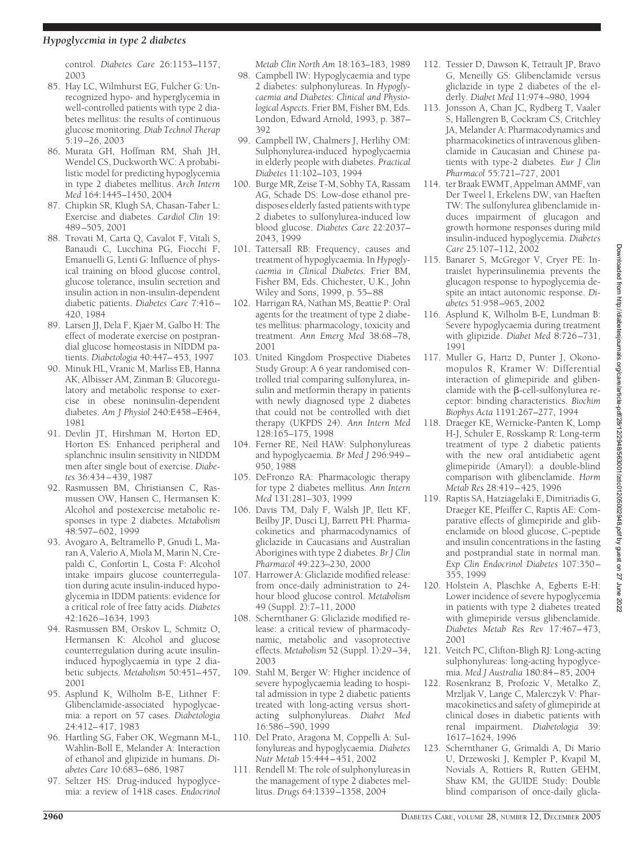control. *Diabetes Care* 26:1153–1157, 2003

- 85. Hay LC, Wilmhurst EG, Fulcher G: Unrecognized hypo- and hyperglycemia in well-controlled patients with type 2 diabetes mellitus: the results of continuous glucose monitoring. *Diab Technol Therap* 5:19–26, 2003
- 86. Murata GH, Hoffman RM, Shah JH, Wendel CS, Duckworth WC: A probabilistic model for predicting hypoglycemia in type 2 diabetes mellitus. *Arch Intern Med* 164:1445–1450, 2004
- 87. Chipkin SR, Klugh SA, Chasan-Taber L: Exercise and diabetes. *Cardiol Clin* 19: 489–505, 2001
- 88. Trovati M, Carta Q, Cavalot F, Vitali S, Banaudi C, Lucchina PG, Fiocchi F, Emanuelli G, Lenti G: Influence of physical training on blood glucose control, glucose tolerance, insulin secretion and insulin action in non-insulin-dependent diabetic patients. *Diabetes Care* 7:416– 420, 1984
- 89. Larsen JJ, Dela F, Kjaer M, Galbo H: The effect of moderate exercise on postprandial glucose homeostasis in NIDDM patients. *Diabetologia* 40:447–453, 1997
- 90. Minuk HL, Vranic M, Marliss EB, Hanna AK, Albisser AM, Zinman B: Glucoregulatory and metabolic response to exercise in obese noninsulin-dependent diabetes. *Am J Physiol* 240:E458–E464, 1981
- 91. Devlin JT, Hirshman M, Horton ED, Horton ES: Enhanced peripheral and splanchnic insulin sensitivity in NIDDM men after single bout of exercise. *Diabetes* 36:434–439, 1987
- 92. Rasmussen BM, Christiansen C, Rasmussen OW, Hansen C, Hermansen K: Alcohol and postexercise metabolic responses in type 2 diabetes. *Metabolism* 48:597–602, 1999
- 93. Avogaro A, Beltramello P, Gnudi L, Maran A, Valerio A, Miola M, Marin N, Crepaldi C, Confortin L, Costa F: Alcohol intake impairs glucose counterregulation during acute insulin-induced hypoglycemia in IDDM patients: evidence for a critical role of free fatty acids. *Diabetes* 42:1626–1634, 1993
- 94. Rasmussen BM, Orskov L, Schmitz O, Hermansen K: Alcohol and glucose counterregulation during acute insulininduced hypoglycaemia in type 2 diabetic subjects. *Metabolism* 50:451–457, 2001
- 95. Asplund K, Wilholm B-E, Lithner F: Glibenclamide-associated hypoglycaemia: a report on 57 cases. *Diabetologia* 24:412–417, 1983
- 96. Hartling SG, Faber OK, Wegmann M-L, Wahlin-Boll E, Melander A: Interaction of ethanol and glipizide in humans. *Diabetes Care* 10:683–686, 1987
- 97. Seltzer HS: Drug-induced hypoglycemia: a review of 1418 cases. *Endocrinol*

*Metab Clin North Am* 18:163–183, 1989

- 98. Campbell IW: Hypoglycaemia and type 2 diabetes: sulphonylureas. In *Hypoglycaemia and Diabetes*: *Clinical and Physiological Aspects.* Frier BM, Fisher BM, Eds. London, Edward Arnold, 1993, p. 387– 392
- 99. Campbell IW, Chalmers J, Herlihy OM: Sulphonylurea-induced hypoglycaemia in elderly people with diabetes. *Practical Diabetes* 11:102–103, 1994
- 100. Burge MR, Zeise T-M, Sobhy TA, Rassam AG, Schade DS: Low-dose ethanol predisposes elderly fasted patients with type 2 diabetes to sulfonylurea-induced low blood glucose. *Diabetes Care* 22:2037– 2043, 1999
- 101. Tattersall RB: Frequency, causes and treatment of hypoglycaemia. In *Hypoglycaemia in Clinical Diabetes.* Frier BM, Fisher BM, Eds. Chichester, U.K., John Wiley and Sons, 1999, p. 55–88
- 102. Harrigan RA, Nathan MS, Beattie P: Oral agents for the treatment of type 2 diabetes mellitus: pharmacology, toxicity and treatment. *Ann Emerg Med* 38:68–78, 2001
- 103. United Kingdom Prospective Diabetes Study Group: A 6 year randomised controlled trial comparing sulfonylurea, insulin and metformin therapy in patients with newly diagnosed type 2 diabetes that could not be controlled with diet therapy (UKPDS 24). *Ann Intern Med* 128:165–175, 1998
- 104. Ferner RE, Neil HAW: Sulphonylureas and hypoglycaemia. *Br Med J* 296:949– 950, 1988
- 105. DeFronzo RA: Pharmacologic therapy for type 2 diabetes mellitus. *Ann Intern Med* 131:281–303, 1999
- 106. Davis TM, Daly F, Walsh JP, Ilett KF, Beilby JP, Dusci LJ, Barrett PH: Pharmacokinetics and pharmacodynamics of gliclazide in Caucasians and Australian Aborigines with type 2 diabetes. *Br J Clin Pharmacol* 49:223–230, 2000
- 107. Harrower A: Gliclazide modified release: from once-daily administration to 24 hour blood glucose control. *Metabolism* 49 (Suppl. 2):7–11, 2000
- 108. Schernthaner G: Gliclazide modified release: a critical review of pharmacodynamic, metabolic and vasoprotective effects. *Metabolism* 52 (Suppl. 1):29–34, 2003
- 109. Stahl M, Berger W: Higher incidence of severe hypoglycaemia leading to hospital admission in type 2 diabetic patients treated with long-acting versus shortacting sulphonylureas. *Diabet Med* 16:586–590, 1999
- 110. Del Prato, Aragona M, Coppelli A: Sulfonylureas and hypoglycaemia. *Diabetes Nutr Metab* 15:444–451, 2002
- 111. Rendell M: The role of sulphonylureas in the management of type 2 diabetes mellitus. *Drugs* 64:1339–1358, 2004
- 112. Tessier D, Dawson K, Tetrault JP, Bravo G, Meneilly GS: Glibenclamide versus gliclazide in type 2 diabetes of the elderly. *Diabet Med* 11:974–980, 1994
- 113. Jonsson A, Chan JC, Rydberg T, Vaaler S, Hallengren B, Cockram CS, Critchley JA, Melander A: Pharmacodynamics and pharmacokinetics of intravenous glibenclamide in Caucasian and Chinese patients with type-2 diabetes. *Eur J Clin Pharmacol* 55:721–727, 2001
- 114. ter Braak EWMT, Appelman AMMF, van Der Tweel I, Erkelens DW, van Haeften TW: The sulfonylurea glibenclamide induces impairment of glucagon and growth hormone responses during mild insulin-induced hypoglycemia. *Diabetes Care* 25:107–112, 2002
- 115. Banarer S, McGregor V, Cryer PE: Intraislet hyperinsulinemia prevents the glucagon response to hypoglycemia despite an intact autonomic response. *Diabetes* 51:958–965, 2002
- 116. Asplund K, Wilholm B-E, Lundman B: Severe hypoglycaemia during treatment with glipizide. *Diabet Med* 8:726–731, 1991
- 117. Muller G, Hartz D, Punter J, Okonomopulos R, Kramer W: Differential interaction of glimepiride and glibenclamide with the  $\beta$ -cell-sulfonylurea receptor: binding characteristics. *Biochim Biophys Acta* 1191:267–277, 1994
- 118. Draeger KE, Wernicke-Panten K, Lomp H-J, Schuler E, Rosskamp R: Long-term treatment of type 2 diabetic patients with the new oral antidiabetic agent glimepiride (Amaryl): a double-blind comparison with glibenclamide. *Horm Metab Res* 28:419–425, 1996
- 119. Raptis SA, Hatziagelaki E, Dimitriadis G, Draeger KE, Pfeiffer C, Raptis AE: Comparative effects of glimepiride and glibenclamide on blood glucose, C-peptide and insulin concentrations in the fasting and postprandial state in normal man. *Exp Clin Endocrinol Diabetes* 107:350– 355, 1999
- 120. Holstein A, Plaschke A, Egberts E-H: Lower incidence of severe hypoglycemia in patients with type 2 diabetes treated with glimepiride versus glibenclamide. *Diabetes Metab Res Rev* 17:467–473, 2001
- 121. Veitch PC, Clifton-Bligh RJ: Long-acting sulphonylureas: long-acting hypoglycemia. *Med J Australia* 180:84–85, 2004
- 122. Rosenkranz B, Profozic V, Metalko Z, Mrzljak V, Lange C, Malerczyk V: Pharmacokinetics and safety of glimepiride at clinical doses in diabetic patients with renal impairment. *Diabetologia* 39: 1617–1624, 1996
- 123. Schernthaner G, Grimaldi A, Di Mario U, Drzewoski J, Kempler P, Kvapil M, Novials A, Rottiers R, Rutten GEHM, Shaw KM, the GUIDE Study: Double blind comparison of once-daily glicla-